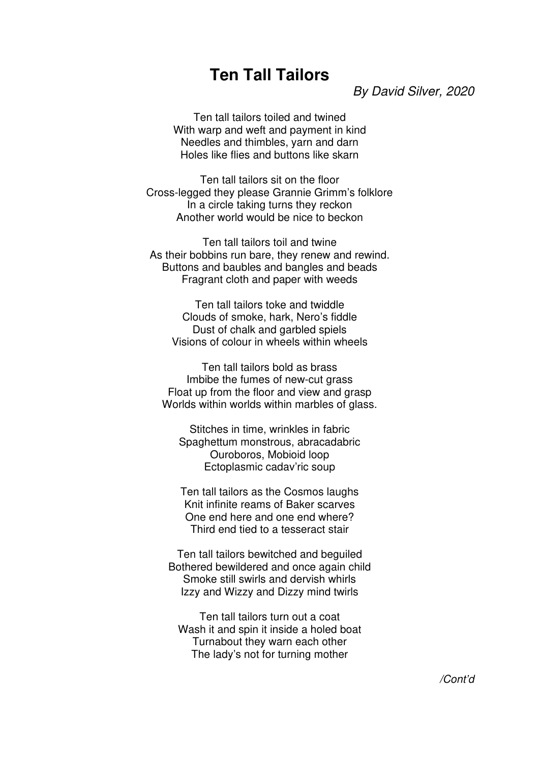## **Ten Tall Tailors**

By David Silver, 2020

Ten tall tailors toiled and twined With warp and weft and payment in kind Needles and thimbles, yarn and darn Holes like flies and buttons like skarn

Ten tall tailors sit on the floor Cross-legged they please Grannie Grimm's folklore In a circle taking turns they reckon Another world would be nice to beckon

Ten tall tailors toil and twine As their bobbins run bare, they renew and rewind. Buttons and baubles and bangles and beads Fragrant cloth and paper with weeds

Ten tall tailors toke and twiddle Clouds of smoke, hark, Nero's fiddle Dust of chalk and garbled spiels Visions of colour in wheels within wheels

Ten tall tailors bold as brass Imbibe the fumes of new-cut grass Float up from the floor and view and grasp Worlds within worlds within marbles of glass.

Stitches in time, wrinkles in fabric Spaghettum monstrous, abracadabric Ouroboros, Mobioid loop Ectoplasmic cadav'ric soup

Ten tall tailors as the Cosmos laughs Knit infinite reams of Baker scarves One end here and one end where? Third end tied to a tesseract stair

Ten tall tailors bewitched and beguiled Bothered bewildered and once again child Smoke still swirls and dervish whirls Izzy and Wizzy and Dizzy mind twirls

Ten tall tailors turn out a coat Wash it and spin it inside a holed boat Turnabout they warn each other The lady's not for turning mother